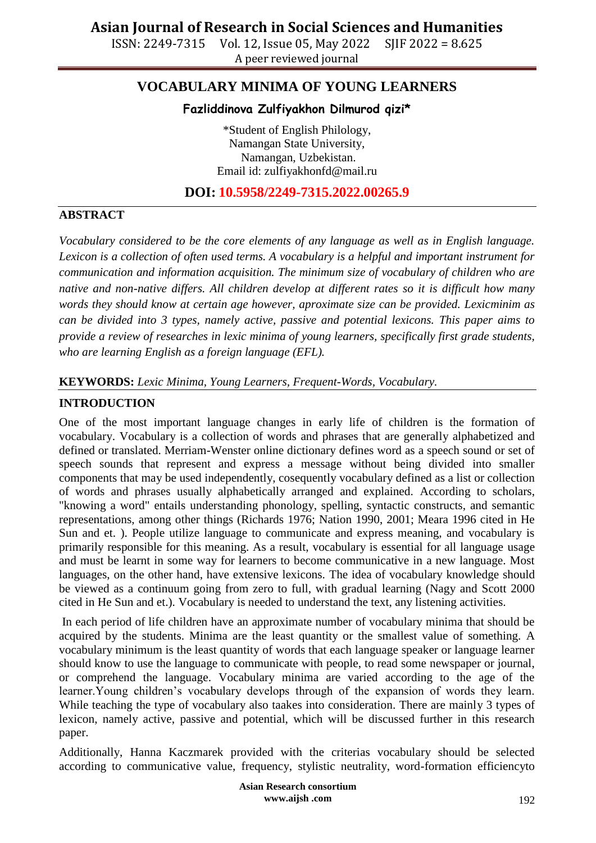ISSN: 2249-7315 Vol. 12, Issue 05, May 2022 SJIF 2022 = 8.625 A peer reviewed journal

# **VOCABULARY MINIMA OF YOUNG LEARNERS**

## **Fazliddinova Zulfiyakhon Dilmurod qizi\***

\*Student of English Philology, Namangan State University, Namangan, Uzbekistan. Email id: zulfiyakhonfd@mail.ru

## **DOI: 10.5958/2249-7315.2022.00265.9**

### **ABSTRACT**

*Vocabulary considered to be the core elements of any language as well as in English language. Lexicon is a collection of often used terms. A vocabulary is a helpful and important instrument for communication and information acquisition. The minimum size of vocabulary of children who are native and non-native differs. All children develop at different rates so it is difficult how many words they should know at certain age however, aproximate size can be provided. Lexicminim as can be divided into 3 types, namely active, passive and potential lexicons. This paper aims to provide a review of researches in lexic minima of young learners, specifically first grade students, who are learning English as a foreign language (EFL).*

### **KEYWORDS:** *Lexic Minima, Young Learners, Frequent-Words, Vocabulary.*

### **INTRODUCTION**

One of the most important language changes in early life of children is the formation of vocabulary. Vocabulary is a collection of words and phrases that are generally alphabetized and defined or translated. Merriam-Wenster online dictionary defines word as a speech sound or set of speech sounds that represent and express a message without being divided into smaller components that may be used independently, cosequently vocabulary defined as a list or collection of words and phrases usually alphabetically arranged and explained. According to scholars, "knowing a word" entails understanding phonology, spelling, syntactic constructs, and semantic representations, among other things (Richards 1976; Nation 1990, 2001; Meara 1996 cited in He Sun and et. ). People utilize language to communicate and express meaning, and vocabulary is primarily responsible for this meaning. As a result, vocabulary is essential for all language usage and must be learnt in some way for learners to become communicative in a new language. Most languages, on the other hand, have extensive lexicons. The idea of vocabulary knowledge should be viewed as a continuum going from zero to full, with gradual learning (Nagy and Scott 2000 cited in He Sun and et.). Vocabulary is needed to understand the text, any listening activities.

In each period of life children have an approximate number of vocabulary minima that should be acquired by the students. Minima are the least quantity or the smallest value of something. A vocabulary minimum is the least quantity of words that each language speaker or language learner should know to use the language to communicate with people, to read some newspaper or journal, or comprehend the language. Vocabulary minima are varied according to the age of the learner.Young children's vocabulary develops through of the expansion of words they learn. While teaching the type of vocabulary also taakes into consideration. There are mainly 3 types of lexicon, namely active, passive and potential, which will be discussed further in this research paper.

Additionally, Hanna Kaczmarek provided with the criterias vocabulary should be selected according to communicative value, frequency, stylistic neutrality, word-formation efficiencyto

> **Asian Research consortium www.aijsh .com**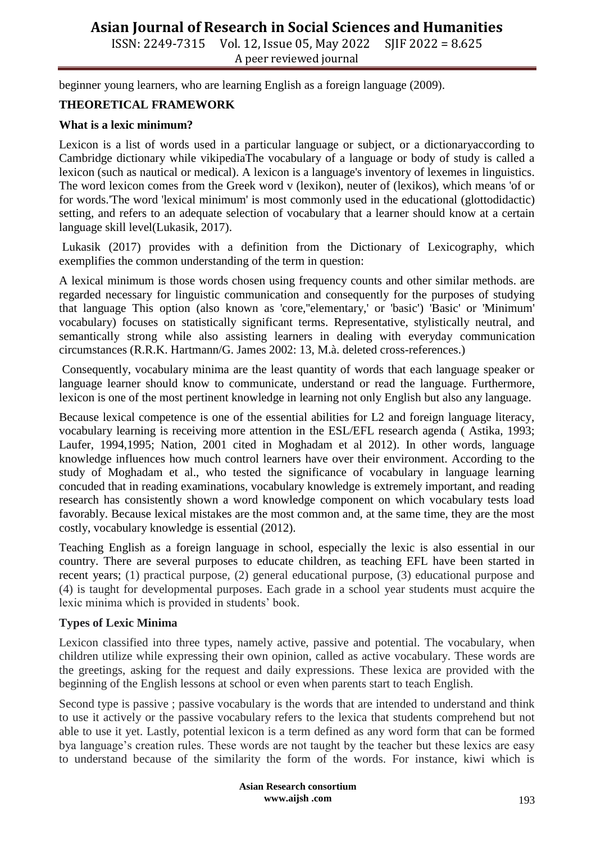# **Asian Journal of Research in Social Sciences and Humanities**

ISSN: 2249-7315 Vol. 12, Issue 05, May 2022 SJIF 2022 = 8.625 A peer reviewed journal

beginner young learners, who are learning English as a foreign language (2009).

### **THEORETICAL FRAMEWORK**

#### **What is a lexic minimum?**

Lexicon is a list of words used in a particular language or subject, or a dictionaryaccording to Cambridge dictionary while vikipediaThe vocabulary of a language or body of study is called a lexicon (such as nautical or medical). A lexicon is a language's inventory of lexemes in linguistics. The word lexicon comes from the Greek word v (lexikon), neuter of (lexikos), which means 'of or for words.'The word 'lexical minimum' is most commonly used in the educational (glottodidactic) setting, and refers to an adequate selection of vocabulary that a learner should know at a certain language skill level(Lukasik, 2017).

Lukasik (2017) provides with a definition from the Dictionary of Lexicography, which exemplifies the common understanding of the term in question:

A lexical minimum is those words chosen using frequency counts and other similar methods. are regarded necessary for linguistic communication and consequently for the purposes of studying that language This option (also known as 'core,''elementary,' or 'basic') 'Basic' or 'Minimum' vocabulary) focuses on statistically significant terms. Representative, stylistically neutral, and semantically strong while also assisting learners in dealing with everyday communication circumstances (R.R.K. Hartmann/G. James 2002: 13, M.à. deleted cross-references.)

Consequently, vocabulary minima are the least quantity of words that each language speaker or language learner should know to communicate, understand or read the language. Furthermore, lexicon is one of the most pertinent knowledge in learning not only English but also any language.

Because lexical competence is one of the essential abilities for L2 and foreign language literacy, vocabulary learning is receiving more attention in the ESL/EFL research agenda ( Astika, 1993; Laufer, 1994,1995; Nation, 2001 cited in Moghadam et al 2012). In other words, language knowledge influences how much control learners have over their environment. According to the study of Moghadam et al., who tested the significance of vocabulary in language learning concuded that in reading examinations, vocabulary knowledge is extremely important, and reading research has consistently shown a word knowledge component on which vocabulary tests load favorably. Because lexical mistakes are the most common and, at the same time, they are the most costly, vocabulary knowledge is essential (2012).

Teaching English as a foreign language in school, especially the lexic is also essential in our country. There are several purposes to educate children, as teaching EFL have been started in recent years; (1) practical purpose, (2) general educational purpose, (3) educational purpose and (4) is taught for developmental purposes. Each grade in a school year students must acquire the lexic minima which is provided in students' book.

#### **Types of Lexic Minima**

Lexicon classified into three types, namely active, passive and potential. The vocabulary, when children utilize while expressing their own opinion, called as active vocabulary. These words are the greetings, asking for the request and daily expressions. These lexica are provided with the beginning of the English lessons at school or even when parents start to teach English.

Second type is passive ; passive vocabulary is the words that are intended to understand and think to use it actively or the passive vocabulary refers to the lexica that students comprehend but not able to use it yet. Lastly, potential lexicon is a term defined as any word form that can be formed bya language's creation rules. These words are not taught by the teacher but these lexics are easy to understand because of the similarity the form of the words. For instance, kiwi which is

> **Asian Research consortium www.aijsh .com**